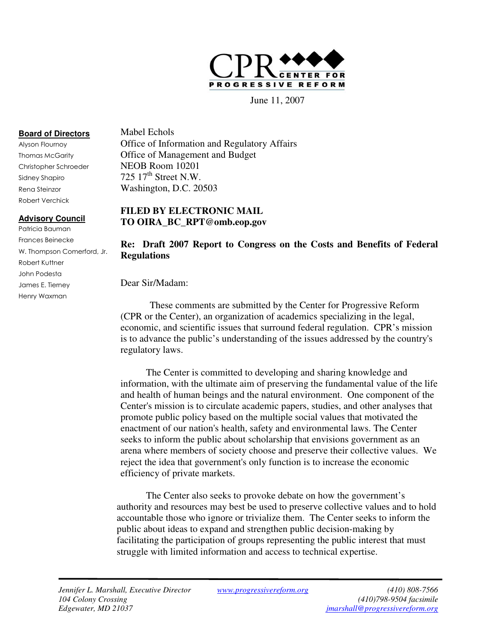

June 11, 2007

# **Board of Directors**

 Alyson Flournoy Thomas McGarity Christopher Schroeder Sidney Shapiro Rena Steinzor Robert Verchick

# **Advisory Council**

 Patricia Bauman Frances Beinecke W. Thompson Comerford, Jr. Robert Kuttner John Podesta James E. Tierney Henry Waxman

 Mabel Echols Office of Information and Regulatory Affairs Office of Management and Budget NEOB Room 10201 725  $17<sup>th</sup>$  Street N.W. Washington, D.C. 20503

# **FILED BY ELECTRONIC MAIL TO OIRA\_BC\_RPT@omb.eop.gov**

# **Re: Draft 2007 Report to Congress on the Costs and Benefits of Federal Regulations**

Dear Sir/Madam:

 These comments are submitted by the Center for Progressive Reform (CPR or the Center), an organization of academics specializing in the legal, economic, and scientific issues that surround federal regulation. CPR's mission is to advance the public's understanding of the issues addressed by the country's regulatory laws.

 information, with the ultimate aim of preserving the fundamental value of the life and health of human beings and the natural environment. One component of the Center's mission is to circulate academic papers, studies, and other analyses that promote public policy based on the multiple social values that motivated the enactment of our nation's health, safety and environmental laws. The Center seeks to inform the public about scholarship that envisions government as an arena where members of society choose and preserve their collective values. We reject the idea that government's only function is to increase the economic efficiency of private markets. The Center is committed to developing and sharing knowledge and

 authority and resources may best be used to preserve collective values and to hold accountable those who ignore or trivialize them. The Center seeks to inform the public about ideas to expand and strengthen public decision-making by facilitating the participation of groups representing the public interest that must struggle with limited information and access to technical expertise. The Center also seeks to provoke debate on how the government's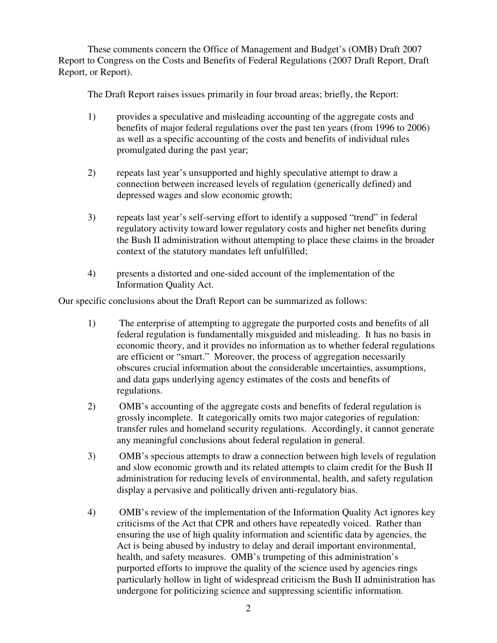These comments concern the Office of Management and Budget's (OMB) Draft 2007 Report to Congress on the Costs and Benefits of Federal Regulations (2007 Draft Report, Draft Report, or Report).

The Draft Report raises issues primarily in four broad areas; briefly, the Report:

- 1) provides a speculative and misleading accounting of the aggregate costs and benefits of major federal regulations over the past ten years (from 1996 to 2006) as well as a specific accounting of the costs and benefits of individual rules promulgated during the past year;
- 2) repeats last year's unsupported and highly speculative attempt to draw a connection between increased levels of regulation (generically defined) and depressed wages and slow economic growth;
- 3) repeats last year's self-serving effort to identify a supposed "trend" in federal regulatory activity toward lower regulatory costs and higher net benefits during the Bush II administration without attempting to place these claims in the broader context of the statutory mandates left unfulfilled;
- 4) presents a distorted and one-sided account of the implementation of the Information Quality Act.

Our specific conclusions about the Draft Report can be summarized as follows:

- 1) The enterprise of attempting to aggregate the purported costs and benefits of all federal regulation is fundamentally misguided and misleading. It has no basis in economic theory, and it provides no information as to whether federal regulations are efficient or "smart." Moreover, the process of aggregation necessarily obscures crucial information about the considerable uncertainties, assumptions, and data gaps underlying agency estimates of the costs and benefits of regulations.
- 2) OMB's accounting of the aggregate costs and benefits of federal regulation is grossly incomplete. It categorically omits two major categories of regulation: transfer rules and homeland security regulations. Accordingly, it cannot generate any meaningful conclusions about federal regulation in general.
- 3) OMB's specious attempts to draw a connection between high levels of regulation and slow economic growth and its related attempts to claim credit for the Bush II administration for reducing levels of environmental, health, and safety regulation display a pervasive and politically driven anti-regulatory bias.
- 4) OMB's review of the implementation of the Information Quality Act ignores key criticisms of the Act that CPR and others have repeatedly voiced. Rather than ensuring the use of high quality information and scientific data by agencies, the Act is being abused by industry to delay and derail important environmental, health, and safety measures. OMB's trumpeting of this administration's purported efforts to improve the quality of the science used by agencies rings particularly hollow in light of widespread criticism the Bush II administration has undergone for politicizing science and suppressing scientific information.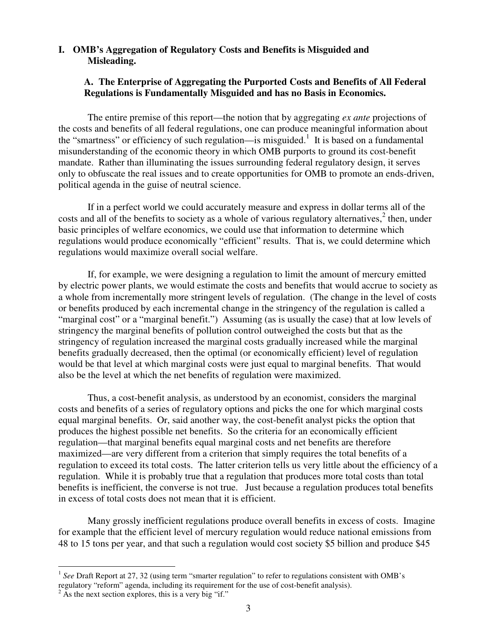# **I. OMB's Aggregation of Regulatory Costs and Benefits is Misguided and Misleading.**

# Misleading.<br>A. The Enterprise of Aggregating the Purported Costs and Benefits of All Federal  **Regulations is Fundamentally Misguided and has no Basis in Economics.**

 The entire premise of this report—the notion that by aggregating *ex ante* projections of the costs and benefits of all federal regulations, one can produce meaningful information about the "smartness" or efficiency of such regulation—is misguided.<sup>1</sup> It is based on a fundamental misunderstanding of the economic theory in which OMB purports to ground its cost-benefit mandate. Rather than illuminating the issues surrounding federal regulatory design, it serves only to obfuscate the real issues and to create opportunities for OMB to promote an ends-driven, political agenda in the guise of neutral science.

 If in a perfect world we could accurately measure and express in dollar terms all of the costs and all of the benefits to society as a whole of various regulatory alternatives, $2$  then, under basic principles of welfare economics, we could use that information to determine which regulations would produce economically "efficient" results. That is, we could determine which regulations would maximize overall social welfare.

 If, for example, we were designing a regulation to limit the amount of mercury emitted by electric power plants, we would estimate the costs and benefits that would accrue to society as a whole from incrementally more stringent levels of regulation. (The change in the level of costs or benefits produced by each incremental change in the stringency of the regulation is called a "marginal cost" or a "marginal benefit.") Assuming (as is usually the case) that at low levels of stringency the marginal benefits of pollution control outweighed the costs but that as the stringency of regulation increased the marginal costs gradually increased while the marginal benefits gradually decreased, then the optimal (or economically efficient) level of regulation would be that level at which marginal costs were just equal to marginal benefits. That would also be the level at which the net benefits of regulation were maximized.

 Thus, a cost-benefit analysis, as understood by an economist, considers the marginal costs and benefits of a series of regulatory options and picks the one for which marginal costs equal marginal benefits. Or, said another way, the cost-benefit analyst picks the option that produces the highest possible net benefits. So the criteria for an economically efficient regulation—that marginal benefits equal marginal costs and net benefits are therefore maximized—are very different from a criterion that simply requires the total benefits of a regulation to exceed its total costs. The latter criterion tells us very little about the efficiency of a regulation. While it is probably true that a regulation that produces more total costs than total benefits is inefficient, the converse is not true. Just because a regulation produces total benefits in excess of total costs does not mean that it is efficient.

 Many grossly inefficient regulations produce overall benefits in excess of costs. Imagine for example that the efficient level of mercury regulation would reduce national emissions from 48 to 15 tons per year, and that such a regulation would cost society \$5 billion and produce \$45

1

<sup>&</sup>lt;sup>1</sup> See Draft Report at 27, 32 (using term "smarter regulation" to refer to regulations consistent with OMB's regulatory "reform" agenda, including its requirement for the use of cost-benefit analysis).

 $2^{2}$  As the next section explores, this is a very big "if."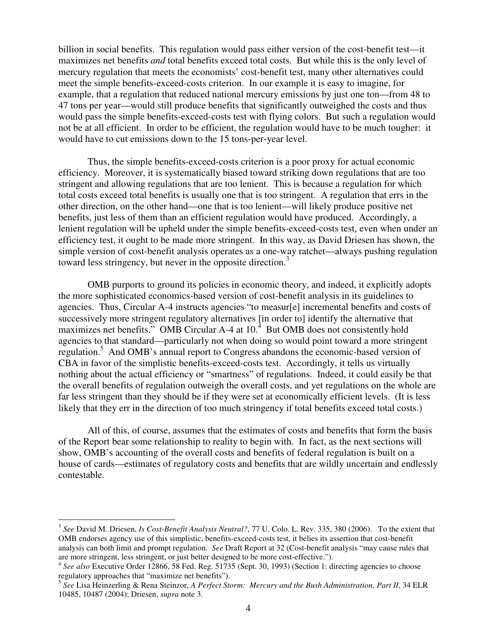billion in social benefits. This regulation would pass either version of the cost-benefit test—it maximizes net benefits *and* total benefits exceed total costs. But while this is the only level of mercury regulation that meets the economists' cost-benefit test, many other alternatives could meet the simple benefits-exceed-costs criterion. In our example it is easy to imagine, for example, that a regulation that reduced national mercury emissions by just one ton—from 48 to 47 tons per year—would still produce benefits that significantly outweighed the costs and thus would pass the simple benefits-exceed-costs test with flying colors. But such a regulation would not be at all efficient. In order to be efficient, the regulation would have to be much tougher: it would have to cut emissions down to the 15 tons-per-year level.

 Thus, the simple benefits-exceed-costs criterion is a poor proxy for actual economic efficiency. Moreover, it is systematically biased toward striking down regulations that are too stringent and allowing regulations that are too lenient. This is because a regulation for which total costs exceed total benefits is usually one that is too stringent. A regulation that errs in the other direction, on the other hand—one that is too lenient—will likely produce positive net benefits, just less of them than an efficient regulation would have produced. Accordingly, a lenient regulation will be upheld under the simple benefits-exceed-costs test, even when under an efficiency test, it ought to be made more stringent. In this way, as David Driesen has shown, the simple version of cost-benefit analysis operates as a one-way ratchet—always pushing regulation toward less stringency, but never in the opposite direction.<sup>3</sup>

 OMB purports to ground its policies in economic theory, and indeed, it explicitly adopts the more sophisticated economics-based version of cost-benefit analysis in its guidelines to agencies. Thus, Circular A-4 instructs agencies "to measur[e] incremental benefits and costs of successively more stringent regulatory alternatives [in order to] identify the alternative that maximizes net benefits." OMB Circular A-4 at  $10<sup>4</sup>$  But OMB does not consistently hold agencies to that standard—particularly not when doing so would point toward a more stringent regulation.<sup>5</sup> And OMB's annual report to Congress abandons the economic-based version of CBA in favor of the simplistic benefits-exceed-costs test. Accordingly, it tells us virtually nothing about the actual efficiency or "smartness" of regulations. Indeed, it could easily be that the overall benefits of regulation outweigh the overall costs, and yet regulations on the whole are far less stringent than they should be if they were set at economically efficient levels. (It is less likely that they err in the direction of too much stringency if total benefits exceed total costs.)

 of the Report bear some relationship to reality to begin with. In fact, as the next sections will show, OMB's accounting of the overall costs and benefits of federal regulation is built on a house of cards—estimates of regulatory costs and benefits that are wildly uncertain and endlessly contestable. contestable. 3 *See* David M. Driesen, *Is Cost-Benefit Analysis Neutral?*, 77 U. Colo. L. Rev. 335, 380 (2006). To the extent that All of this, of course, assumes that the estimates of costs and benefits that form the basis

 $\overline{a}$ 

 OMB endorses agency use of this simplistic, benefits-exceed-costs test, it belies its assertion that cost-benefit analysis can both limit and prompt regulation. *See* Draft Report at 32 (Cost-benefit analysis "may cause rules that are more stringent, less stringent, or just better designed to be more cost-effective.").

 <sup>4</sup>*See also* Executive Order 12866, 58 Fed. Reg. 51735 (Sept. 30, 1993) (Section 1: directing agencies to choose regulatory approaches that "maximize net benefits").

 <sup>5</sup>*See* Lisa Heinzerling & Rena Steinzor, *A Perfect Storm: Mercury and the Bush Administration, Part II*, 34 ELR 10485, 10487 (2004); Driesen, *supra* note 3.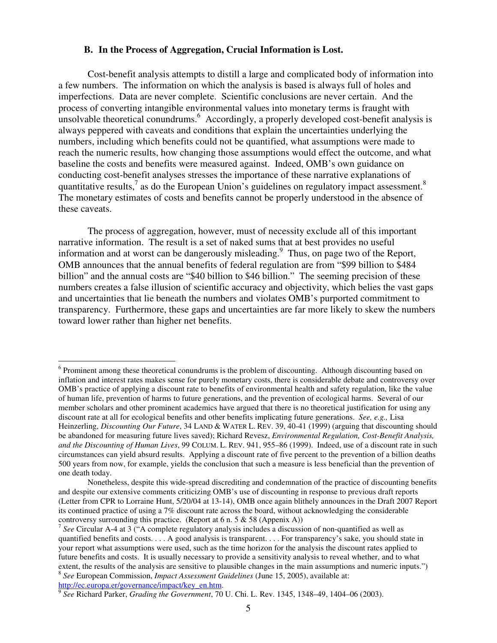#### **B. In the Process of Aggregation, Crucial Information is Lost.**

 Cost-benefit analysis attempts to distill a large and complicated body of information into a few numbers. The information on which the analysis is based is always full of holes and imperfections. Data are never complete. Scientific conclusions are never certain. And the process of converting intangible environmental values into monetary terms is fraught with unsolvable theoretical conundrums.<sup>6</sup> Accordingly, a properly developed cost-benefit analysis is always peppered with caveats and conditions that explain the uncertainties underlying the numbers, including which benefits could not be quantified, what assumptions were made to reach the numeric results, how changing those assumptions would effect the outcome, and what baseline the costs and benefits were measured against. Indeed, OMB's own guidance on conducting cost-benefit analyses stresses the importance of these narrative explanations of quantitative results,<sup>7</sup> as do the European Union's guidelines on regulatory impact assessment.<sup>8</sup> The monetary estimates of costs and benefits cannot be properly understood in the absence of these caveats.

 The process of aggregation, however, must of necessity exclude all of this important narrative information. The result is a set of naked sums that at best provides no useful information and at worst can be dangerously misleading. $9$  Thus, on page two of the Report, OMB announces that the annual benefits of federal regulation are from "\$99 billion to \$484 billion" and the annual costs are "\$40 billion to \$46 billion." The seeming precision of these numbers creates a false illusion of scientific accuracy and objectivity, which belies the vast gaps and uncertainties that lie beneath the numbers and violates OMB's purported commitment to transparency. Furthermore, these gaps and uncertainties are far more likely to skew the numbers toward lower rather than higher net benefits.

1

http://ec.europa.er/governance/impact/key\_en.htm. 9 *See* Richard Parker, *Grading the Government*, 70 U. Chi. L. Rev. 1345, 1348–49, 1404–06 (2003).

 $6$  Prominent among these theoretical conundrums is the problem of discounting. Although discounting based on inflation and interest rates makes sense for purely monetary costs, there is considerable debate and controversy over OMB's practice of applying a discount rate to benefits of environmental health and safety regulation, like the value of human life, prevention of harms to future generations, and the prevention of ecological harms. Several of our member scholars and other prominent academics have argued that there is no theoretical justification for using any discount rate at all for ecological benefits and other benefits implicating future generations. *See, e.g.,* Lisa  Heinzerling, *Discounting Our Future*, 34 LAND & WATER L. REV. 39, 40-41 (1999) (arguing that discounting should be abandoned for measuring future lives saved); Richard Revesz, *Environmental Regulation, Cost-Benefit Analysis, and the Discounting of Human Lives*, 99 COLUM. L. REV. 941, 955–86 (1999). Indeed, use of a discount rate in such circumstances can yield absurd results. Applying a discount rate of five percent to the prevention of a billion deaths 500 years from now, for example, yields the conclusion that such a measure is less beneficial than the prevention of one death today.

 and despite our extensive comments criticizing OMB's use of discounting in response to previous draft reports (Letter from CPR to Lorraine Hunt, 5/20/04 at 13-14), OMB once again blithely announces in the Draft 2007 Report its continued practice of using a 7% discount rate across the board, without acknowledging the considerable controversy surrounding this practice. (Report at  $6$  n.  $5 \& 58$  (Appenix A)) Nonetheless, despite this wide-spread discrediting and condemnation of the practice of discounting benefits

 <sup>7</sup>*See* Circular A-4 at 3 ("A complete regulatory analysis includes a discussion of non-quantified as well as quantified benefits and costs. . . . A good analysis is transparent. . . . For transparency's sake, you should state in your report what assumptions were used, such as the time horizon for the analysis the discount rates applied to future benefits and costs. It is usually necessary to provide a sensitivity analysis to reveal whether, and to what extent, the results of the analysis are sensitive to plausible changes in the main assumptions and numeric inputs.")  <sup>8</sup>*See* European Commission, *Impact Assessment Guidelines* (June 15, 2005), available at: http://ec.europa.er/governance/impact/key\_en.htm.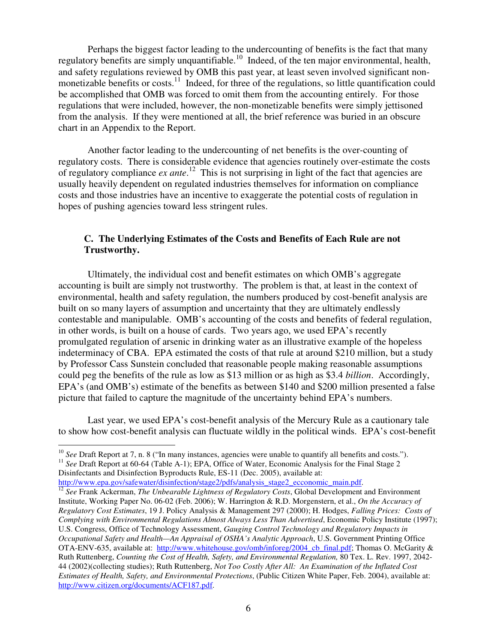Perhaps the biggest factor leading to the undercounting of benefits is the fact that many regulatory benefits are simply unquantifiable.<sup>10</sup> Indeed, of the ten major environmental, health, and safety regulations reviewed by OMB this past year, at least seven involved significant nonmonetizable benefits or costs.<sup>11</sup> Indeed, for three of the regulations, so little quantification could be accomplished that OMB was forced to omit them from the accounting entirely. For those regulations that were included, however, the non-monetizable benefits were simply jettisoned from the analysis. If they were mentioned at all, the brief reference was buried in an obscure chart in an Appendix to the Report.

 Another factor leading to the undercounting of net benefits is the over-counting of regulatory costs. There is considerable evidence that agencies routinely over-estimate the costs of regulatory compliance *ex ante*.<sup>12</sup> This is not surprising in light of the fact that agencies are usually heavily dependent on regulated industries themselves for information on compliance costs and those industries have an incentive to exaggerate the potential costs of regulation in hopes of pushing agencies toward less stringent rules.

# **C. The Underlying Estimates of the Costs and Benefits of Each Rule are not Trustworthy.**

 Ultimately, the individual cost and benefit estimates on which OMB's aggregate accounting is built are simply not trustworthy. The problem is that, at least in the context of environmental, health and safety regulation, the numbers produced by cost-benefit analysis are built on so many layers of assumption and uncertainty that they are ultimately endlessly contestable and manipulable. OMB's accounting of the costs and benefits of federal regulation, in other words, is built on a house of cards. Two years ago, we used EPA's recently promulgated regulation of arsenic in drinking water as an illustrative example of the hopeless indeterminacy of CBA. EPA estimated the costs of that rule at around \$210 million, but a study by Professor Cass Sunstein concluded that reasonable people making reasonable assumptions could peg the benefits of the rule as low as \$13 million or as high as \$3.4 *billion*. Accordingly, EPA's (and OMB's) estimate of the benefits as between \$140 and \$200 million presented a false picture that failed to capture the magnitude of the uncertainty behind EPA's numbers.

 Last year, we used EPA's cost-benefit analysis of the Mercury Rule as a cautionary tale to show how cost-benefit analysis can fluctuate wildly in the political winds. EPA's cost-benefit

<sup>10</sup> See Draft Report at 7, n. 8 ("In many instances, agencies were unable to quantify all benefits and costs."). <sup>10</sup> *See* Draft Report at 7, n. 8 ("In many instances, agencies were unable to quantify all benefits and costs.").<br><sup>11</sup> *See* Draft Report at 60-64 (Table A-1); EPA, Office of Water, Economic Analysis for the Final Stage

Disinfectants and Disinfection Byproducts Rule, ES-11 (Dec. 2005), available at:

http://www.epa.gov/safewater/disinfection/stage2/pdfs/analysis\_stage2\_ecconomic\_main.pdf. http://www.epa.gov/safewater/disinfection/stage2/pdfs/analysis\_stage2\_ecconomic\_main.pdf.<br><sup>12</sup> See Frank Ackerman, *The Unbearable Lightness of Regulatory Costs*, Global Development and Environment

1

 Institute, Working Paper No. 06-02 (Feb. 2006); W. Harrington & R.D. Morgenstern, et al., *On the Accuracy of Regulatory Cost Estimates*, 19 J. Policy Analysis & Management 297 (2000); H. Hodges, *Falling Prices: Costs of Complying with Environmental Regulations Almost Always Less Than Advertised*, Economic Policy Institute (1997); U.S. Congress, Office of Technology Assessment, *Gauging Control Technology and Regulatory Impacts in Occupational Safety and Health—An Appraisal of OSHA's Analytic Approach*, U.S. Government Printing Office OTA-ENV-635, available at: http://www.whitehouse.gov/omb/inforeg/2004\_cb\_final.pdf; Thomas O. McGarity & Ruth Ruttenberg, *Counting the Cost of Health, Safety, and Environmental Regulation,* 80 Tex. L. Rev. 1997, 2042 44 (2002)(collecting studies); Ruth Ruttenberg, *Not Too Costly After All: An Examination of the Inflated Cost Estimates of Health, Safety, and Environmental Protections*, (Public Citizen White Paper, Feb. 2004), available at: http://www.citizen.org/documents/ACF187.pdf.<br>6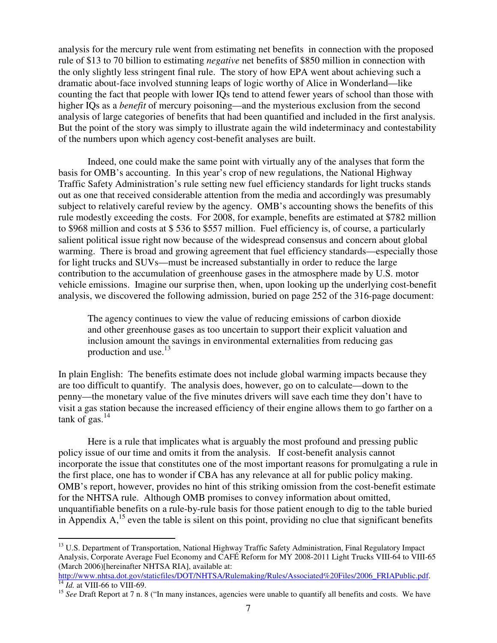analysis for the mercury rule went from estimating net benefits in connection with the proposed rule of \$13 to 70 billion to estimating *negative* net benefits of \$850 million in connection with the only slightly less stringent final rule. The story of how EPA went about achieving such a dramatic about-face involved stunning leaps of logic worthy of Alice in Wonderland—like counting the fact that people with lower IQs tend to attend fewer years of school than those with higher IQs as a *benefit* of mercury poisoning—and the mysterious exclusion from the second analysis of large categories of benefits that had been quantified and included in the first analysis. But the point of the story was simply to illustrate again the wild indeterminacy and contestability of the numbers upon which agency cost-benefit analyses are built.

 Indeed, one could make the same point with virtually any of the analyses that form the basis for OMB's accounting. In this year's crop of new regulations, the National Highway Traffic Safety Administration's rule setting new fuel efficiency standards for light trucks stands out as one that received considerable attention from the media and accordingly was presumably subject to relatively careful review by the agency. OMB's accounting shows the benefits of this rule modestly exceeding the costs. For 2008, for example, benefits are estimated at \$782 million to \$968 million and costs at \$ 536 to \$557 million. Fuel efficiency is, of course, a particularly salient political issue right now because of the widespread consensus and concern about global warming. There is broad and growing agreement that fuel efficiency standards—especially those for light trucks and SUVs—must be increased substantially in order to reduce the large contribution to the accumulation of greenhouse gases in the atmosphere made by U.S. motor vehicle emissions. Imagine our surprise then, when, upon looking up the underlying cost-benefit analysis, we discovered the following admission, buried on page 252 of the 316-page document:

 The agency continues to view the value of reducing emissions of carbon dioxide and other greenhouse gases as too uncertain to support their explicit valuation and inclusion amount the savings in environmental externalities from reducing gas production and use.<sup>13</sup>

 In plain English: The benefits estimate does not include global warming impacts because they are too difficult to quantify. The analysis does, however, go on to calculate—down to the penny—the monetary value of the five minutes drivers will save each time they don't have to visit a gas station because the increased efficiency of their engine allows them to go farther on a tank of gas. $14$ 

 Here is a rule that implicates what is arguably the most profound and pressing public policy issue of our time and omits it from the analysis. If cost-benefit analysis cannot incorporate the issue that constitutes one of the most important reasons for promulgating a rule in the first place, one has to wonder if CBA has any relevance at all for public policy making. OMB's report, however, provides no hint of this striking omission from the cost-benefit estimate for the NHTSA rule. Although OMB promises to convey information about omitted, unquantifiable benefits on a rule-by-rule basis for those patient enough to dig to the table buried in Appendix  $A$ ,<sup>15</sup> even the table is silent on this point, providing no clue that significant benefits

 $\overline{a}$ 

<sup>&</sup>lt;sup>13</sup> U.S. Department of Transportation, National Highway Traffic Safety Administration, Final Regulatory Impact Analysis, Corporate Average Fuel Economy and CAFÉ Reform for MY 2008-2011 Light Trucks VIII-64 to VIII-65 (March 2006)[hereinafter NHTSA RIA], available at:

 http://www.nhtsa.dot.gov/staticfiles/DOT/NHTSA/Rulemaking/Rules/Associated%20Files/2006\_FRIAPublic.pdf. 14 *Id.* at VIII-66 to VIII-69.  $\frac{14}{14}$  *Id.* at VIII-66 to VIII-69.

<sup>&</sup>lt;sup>15</sup> See Draft Report at 7 n. 8 ("In many instances, agencies were unable to quantify all benefits and costs. We have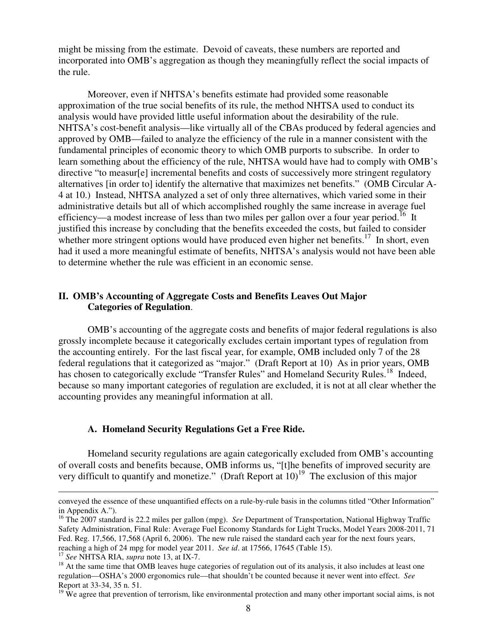might be missing from the estimate. Devoid of caveats, these numbers are reported and incorporated into OMB's aggregation as though they meaningfully reflect the social impacts of the rule.

 Moreover, even if NHTSA's benefits estimate had provided some reasonable approximation of the true social benefits of its rule, the method NHTSA used to conduct its analysis would have provided little useful information about the desirability of the rule. NHTSA's cost-benefit analysis—like virtually all of the CBAs produced by federal agencies and approved by OMB—failed to analyze the efficiency of the rule in a manner consistent with the fundamental principles of economic theory to which OMB purports to subscribe. In order to learn something about the efficiency of the rule, NHTSA would have had to comply with OMB's directive "to measur[e] incremental benefits and costs of successively more stringent regulatory alternatives [in order to] identify the alternative that maximizes net benefits." (OMB Circular A- 4 at 10.) Instead, NHTSA analyzed a set of only three alternatives, which varied some in their administrative details but all of which accomplished roughly the same increase in average fuel efficiency—a modest increase of less than two miles per gallon over a four year period.<sup>16</sup> It justified this increase by concluding that the benefits exceeded the costs, but failed to consider whether more stringent options would have produced even higher net benefits.<sup>17</sup> In short, even had it used a more meaningful estimate of benefits, NHTSA's analysis would not have been able to determine whether the rule was efficient in an economic sense.

## **II. OMB's Accounting of Aggregate Costs and Benefits Leaves Out Major Categories of Regulation**.

 OMB's accounting of the aggregate costs and benefits of major federal regulations is also grossly incomplete because it categorically excludes certain important types of regulation from the accounting entirely. For the last fiscal year, for example, OMB included only 7 of the 28 federal regulations that it categorized as "major." (Draft Report at 10) As in prior years, OMB has chosen to categorically exclude "Transfer Rules" and Homeland Security Rules.<sup>18</sup> Indeed, because so many important categories of regulation are excluded, it is not at all clear whether the accounting provides any meaningful information at all.

#### **A. Homeland Security Regulations Get a Free Ride.**

 Homeland security regulations are again categorically excluded from OMB's accounting of overall costs and benefits because, OMB informs us, "[t]he benefits of improved security are very difficult to quantify and monetize." (Draft Report at  $10$ )<sup>19</sup> The exclusion of this major

<u>.</u>

 in Appendix A."). conveyed the essence of these unquantified effects on a rule-by-rule basis in the columns titled "Other Information"

 16 The 2007 standard is 22.2 miles per gallon (mpg). *See* Department of Transportation, National Highway Traffic Safety Administration, Final Rule: Average Fuel Economy Standards for Light Trucks, Model Years 2008-2011, 71 Fed. Reg. 17,566, 17,568 (April 6, 2006). The new rule raised the standard each year for the next fours years, reaching a high of 24 mpg for model year 2011. *See id*. at 17566, 17645 (Table 15). 17 *See* NHTSA RIA, *supra* note 13, at IX-7.

<sup>&</sup>lt;sup>17</sup> See NHTSA RIA, supra note 13, at IX-7.

<sup>&</sup>lt;sup>17</sup> See NHTSA RIA, *supra* note 13, at IX-7.<br><sup>18</sup> At the same time that OMB leaves huge categories of regulation out of its analysis, it also includes at least one regulation—OSHA's 2000 ergonomics rule—that shouldn't be counted because it never went into effect. *See* Report at 33-34, 35 n. 51.

 $19$  We agree that prevention of terrorism, like environmental protection and many other important social aims, is not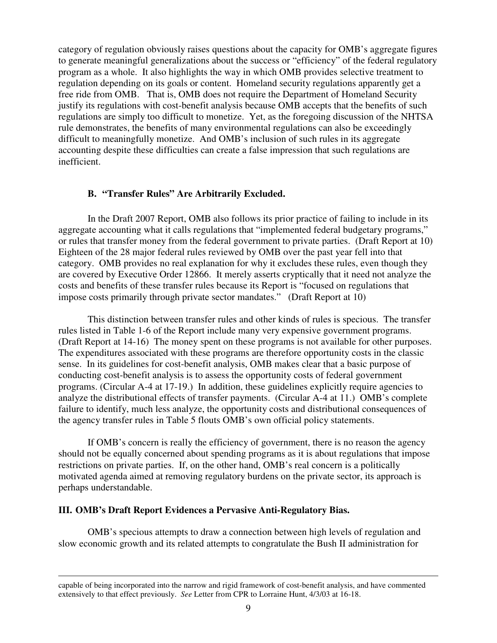category of regulation obviously raises questions about the capacity for OMB's aggregate figures to generate meaningful generalizations about the success or "efficiency" of the federal regulatory program as a whole. It also highlights the way in which OMB provides selective treatment to regulation depending on its goals or content. Homeland security regulations apparently get a free ride from OMB. That is, OMB does not require the Department of Homeland Security justify its regulations with cost-benefit analysis because OMB accepts that the benefits of such regulations are simply too difficult to monetize. Yet, as the foregoing discussion of the NHTSA rule demonstrates, the benefits of many environmental regulations can also be exceedingly difficult to meaningfully monetize. And OMB's inclusion of such rules in its aggregate accounting despite these difficulties can create a false impression that such regulations are inefficient.

# **B. "Transfer Rules" Are Arbitrarily Excluded.**

 In the Draft 2007 Report, OMB also follows its prior practice of failing to include in its aggregate accounting what it calls regulations that "implemented federal budgetary programs," or rules that transfer money from the federal government to private parties. (Draft Report at 10) Eighteen of the 28 major federal rules reviewed by OMB over the past year fell into that category. OMB provides no real explanation for why it excludes these rules, even though they are covered by Executive Order 12866. It merely asserts cryptically that it need not analyze the costs and benefits of these transfer rules because its Report is "focused on regulations that impose costs primarily through private sector mandates." (Draft Report at 10)

 rules listed in Table 1-6 of the Report include many very expensive government programs. (Draft Report at 14-16) The money spent on these programs is not available for other purposes. The expenditures associated with these programs are therefore opportunity costs in the classic sense. In its guidelines for cost-benefit analysis, OMB makes clear that a basic purpose of conducting cost-benefit analysis is to assess the opportunity costs of federal government programs. (Circular A-4 at 17-19.) In addition, these guidelines explicitly require agencies to analyze the distributional effects of transfer payments. (Circular A-4 at 11.) OMB's complete failure to identify, much less analyze, the opportunity costs and distributional consequences of the agency transfer rules in Table 5 flouts OMB's own official policy statements. This distinction between transfer rules and other kinds of rules is specious. The transfer

 should not be equally concerned about spending programs as it is about regulations that impose restrictions on private parties. If, on the other hand, OMB's real concern is a politically motivated agenda aimed at removing regulatory burdens on the private sector, its approach is If OMB's concern is really the efficiency of government, there is no reason the agency perhaps understandable.

### **III. OMB's Draft Report Evidences a Pervasive Anti-Regulatory Bias.**

1

 OMB's specious attempts to draw a connection between high levels of regulation and slow economic growth and its related attempts to congratulate the Bush II administration for

 extensively to that effect previously. *See* Letter from CPR to Lorraine Hunt, 4/3/03 at 16-18. capable of being incorporated into the narrow and rigid framework of cost-benefit analysis, and have commented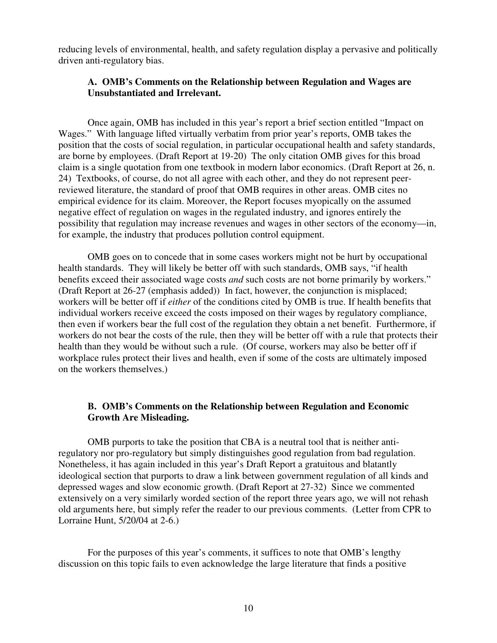reducing levels of environmental, health, and safety regulation display a pervasive and politically driven anti-regulatory bias.

# **A. OMB's Comments on the Relationship between Regulation and Wages are Unsubstantiated and Irrelevant.**

 Wages." With language lifted virtually verbatim from prior year's reports, OMB takes the position that the costs of social regulation, in particular occupational health and safety standards, are borne by employees. (Draft Report at 19-20) The only citation OMB gives for this broad claim is a single quotation from one textbook in modern labor economics. (Draft Report at 26, n. 24) Textbooks, of course, do not all agree with each other, and they do not represent peer- reviewed literature, the standard of proof that OMB requires in other areas. OMB cites no empirical evidence for its claim. Moreover, the Report focuses myopically on the assumed negative effect of regulation on wages in the regulated industry, and ignores entirely the possibility that regulation may increase revenues and wages in other sectors of the economy—in, for example, the industry that produces pollution control equipment. Once again, OMB has included in this year's report a brief section entitled "Impact on

 OMB goes on to concede that in some cases workers might not be hurt by occupational health standards. They will likely be better off with such standards, OMB says, "if health benefits exceed their associated wage costs *and* such costs are not borne primarily by workers." (Draft Report at 26-27 (emphasis added)) In fact, however, the conjunction is misplaced; workers will be better off if *either* of the conditions cited by OMB is true. If health benefits that individual workers receive exceed the costs imposed on their wages by regulatory compliance, then even if workers bear the full cost of the regulation they obtain a net benefit. Furthermore, if workers do not bear the costs of the rule, then they will be better off with a rule that protects their health than they would be without such a rule. (Of course, workers may also be better off if workplace rules protect their lives and health, even if some of the costs are ultimately imposed on the workers themselves.)

# **B. OMB's Comments on the Relationship between Regulation and Economic Growth Are Misleading.**

 OMB purports to take the position that CBA is a neutral tool that is neither anti- regulatory nor pro-regulatory but simply distinguishes good regulation from bad regulation. Nonetheless, it has again included in this year's Draft Report a gratuitous and blatantly ideological section that purports to draw a link between government regulation of all kinds and depressed wages and slow economic growth. (Draft Report at 27-32) Since we commented extensively on a very similarly worded section of the report three years ago, we will not rehash old arguments here, but simply refer the reader to our previous comments. (Letter from CPR to Lorraine Hunt, 5/20/04 at 2-6.)

 discussion on this topic fails to even acknowledge the large literature that finds a positive For the purposes of this year's comments, it suffices to note that OMB's lengthy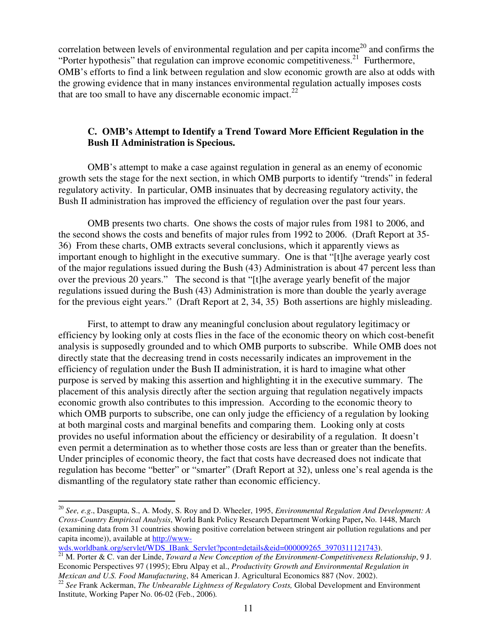correlation between levels of environmental regulation and per capita income<sup>20</sup> and confirms the "Porter hypothesis" that regulation can improve economic competitiveness.<sup>21</sup> Furthermore, OMB's efforts to find a link between regulation and slow economic growth are also at odds with the growing evidence that in many instances environmental regulation actually imposes costs that are too small to have any discernable economic impact. $^{22}$ 

# **C. OMB's Attempt to Identify a Trend Toward More Efficient Regulation in the Bush II Administration is Specious.**

 OMB's attempt to make a case against regulation in general as an enemy of economic growth sets the stage for the next section, in which OMB purports to identify "trends" in federal regulatory activity. In particular, OMB insinuates that by decreasing regulatory activity, the Bush II administration has improved the efficiency of regulation over the past four years.

 OMB presents two charts. One shows the costs of major rules from 1981 to 2006, and the second shows the costs and benefits of major rules from 1992 to 2006. (Draft Report at 35 36) From these charts, OMB extracts several conclusions, which it apparently views as important enough to highlight in the executive summary. One is that "[t]he average yearly cost of the major regulations issued during the Bush (43) Administration is about 47 percent less than over the previous 20 years." The second is that "[t]he average yearly benefit of the major regulations issued during the Bush (43) Administration is more than double the yearly average for the previous eight years." (Draft Report at 2, 34, 35) Both assertions are highly misleading.

 First, to attempt to draw any meaningful conclusion about regulatory legitimacy or efficiency by looking only at costs flies in the face of the economic theory on which cost-benefit analysis is supposedly grounded and to which OMB purports to subscribe. While OMB does not directly state that the decreasing trend in costs necessarily indicates an improvement in the efficiency of regulation under the Bush II administration, it is hard to imagine what other purpose is served by making this assertion and highlighting it in the executive summary. The placement of this analysis directly after the section arguing that regulation negatively impacts economic growth also contributes to this impression. According to the economic theory to which OMB purports to subscribe, one can only judge the efficiency of a regulation by looking at both marginal costs and marginal benefits and comparing them. Looking only at costs provides no useful information about the efficiency or desirability of a regulation. It doesn't even permit a determination as to whether those costs are less than or greater than the benefits. Under principles of economic theory, the fact that costs have decreased does not indicate that regulation has become "better" or "smarter" (Draft Report at 32), unless one's real agenda is the dismantling of the regulatory state rather than economic efficiency.

 $\overline{a}$ 

 *Cross-Country Empirical Analysis*, World Bank Policy Research Department Working Paper**,** No. 1448, March (examining data from 31 countries showing positive correlation between stringent air pollution regulations and per capita income)), available at http://www <sup>20</sup>*See, e.g*., Dasgupta, S., A. Mody, S. Roy and D. Wheeler, 1995, *Environmental Regulation And Development: A* 

wds.worldbank.org/servlet/WDS\_IBank\_Servlet?pcont=details&eid=000009265\_3970311121743).<br><sup>21</sup> M. Porter & C. van der Linde, *Toward a New Conception of the Environment-Competitiveness Relationship*, 9 J. Economic Perspectives 97 (1995); Ebru Alpay et al., *Productivity Growth and Environmental Regulation in*  Mexican and U.S. Food Manufacturing, 84 American J. Agricultural Economics 887 (Nov. 2002).

*Mexican and U.S. Food Manufacturing*, 84 American J. Agricultural Economics 887 (Nov. 2002).<br><sup>22</sup> *See* Frank Ackerman, *The Unbearable Lightness of Regulatory Costs*, Global Development and Environment Institute, Working Paper No. 06-02 (Feb., 2006)*.*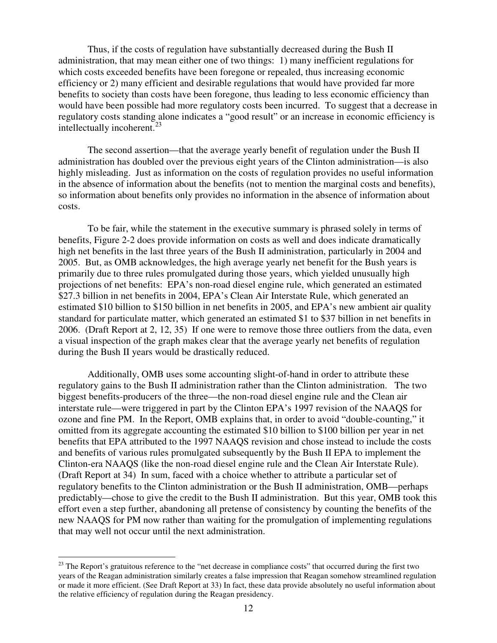Thus, if the costs of regulation have substantially decreased during the Bush II administration, that may mean either one of two things: 1) many inefficient regulations for which costs exceeded benefits have been foregone or repealed, thus increasing economic efficiency or 2) many efficient and desirable regulations that would have provided far more benefits to society than costs have been foregone, thus leading to less economic efficiency than would have been possible had more regulatory costs been incurred. To suggest that a decrease in regulatory costs standing alone indicates a "good result" or an increase in economic efficiency is intellectually incoherent.<sup>23</sup>

 The second assertion—that the average yearly benefit of regulation under the Bush II administration has doubled over the previous eight years of the Clinton administration—is also highly misleading. Just as information on the costs of regulation provides no useful information in the absence of information about the benefits (not to mention the marginal costs and benefits), so information about benefits only provides no information in the absence of information about costs. costs. To be fair, while the statement in the executive summary is phrased solely in terms of

 benefits, Figure 2-2 does provide information on costs as well and does indicate dramatically high net benefits in the last three years of the Bush II administration, particularly in 2004 and 2005. But, as OMB acknowledges, the high average yearly net benefit for the Bush years is primarily due to three rules promulgated during those years, which yielded unusually high projections of net benefits: EPA's non-road diesel engine rule, which generated an estimated \$27.3 billion in net benefits in 2004, EPA's Clean Air Interstate Rule, which generated an estimated \$10 billion to \$150 billion in net benefits in 2005, and EPA's new ambient air quality standard for particulate matter, which generated an estimated \$1 to \$37 billion in net benefits in 2006. (Draft Report at 2, 12, 35) If one were to remove those three outliers from the data, even a visual inspection of the graph makes clear that the average yearly net benefits of regulation during the Bush II years would be drastically reduced.

 Additionally, OMB uses some accounting slight-of-hand in order to attribute these regulatory gains to the Bush II administration rather than the Clinton administration. The two biggest benefits-producers of the three—the non-road diesel engine rule and the Clean air interstate rule—were triggered in part by the Clinton EPA's 1997 revision of the NAAQS for ozone and fine PM. In the Report, OMB explains that, in order to avoid "double-counting," it omitted from its aggregate accounting the estimated \$10 billion to \$100 billion per year in net benefits that EPA attributed to the 1997 NAAQS revision and chose instead to include the costs and benefits of various rules promulgated subsequently by the Bush II EPA to implement the Clinton-era NAAQS (like the non-road diesel engine rule and the Clean Air Interstate Rule). (Draft Report at 34) In sum, faced with a choice whether to attribute a particular set of regulatory benefits to the Clinton administration or the Bush II administration, OMB—perhaps predictably—chose to give the credit to the Bush II administration. But this year, OMB took this effort even a step further, abandoning all pretense of consistency by counting the benefits of the new NAAQS for PM now rather than waiting for the promulgation of implementing regulations that may well not occur until the next administration.

1

 $^{23}$  The Report's gratuitous reference to the "net decrease in compliance costs" that occurred during the first two years of the Reagan administration similarly creates a false impression that Reagan somehow streamlined regulation or made it more efficient. (See Draft Report at 33) In fact, these data provide absolutely no useful information about the relative efficiency of regulation during the Reagan presidency.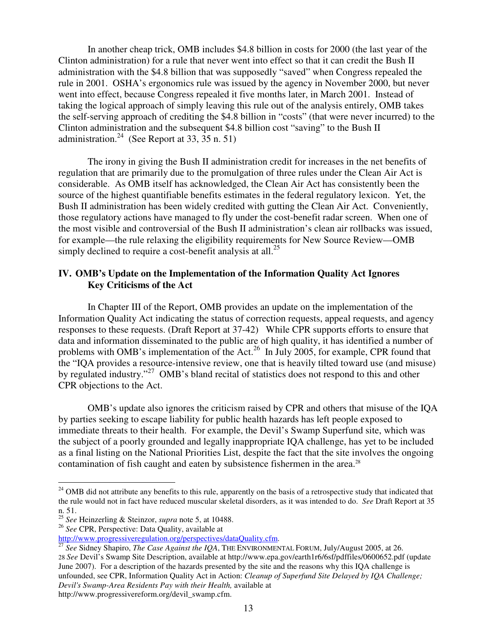In another cheap trick, OMB includes \$4.8 billion in costs for 2000 (the last year of the Clinton administration) for a rule that never went into effect so that it can credit the Bush II administration with the \$4.8 billion that was supposedly "saved" when Congress repealed the rule in 2001. OSHA's ergonomics rule was issued by the agency in November 2000, but never went into effect, because Congress repealed it five months later, in March 2001. Instead of taking the logical approach of simply leaving this rule out of the analysis entirely, OMB takes the self-serving approach of crediting the \$4.8 billion in "costs" (that were never incurred) to the Clinton administration and the subsequent \$4.8 billion cost "saving" to the Bush II administration.<sup>24</sup> (See Report at 33,  $\overline{35}$  n. 51)

 The irony in giving the Bush II administration credit for increases in the net benefits of regulation that are primarily due to the promulgation of three rules under the Clean Air Act is considerable. As OMB itself has acknowledged, the Clean Air Act has consistently been the source of the highest quantifiable benefits estimates in the federal regulatory lexicon. Yet, the Bush II administration has been widely credited with gutting the Clean Air Act. Conveniently, those regulatory actions have managed to fly under the cost-benefit radar screen. When one of the most visible and controversial of the Bush II administration's clean air rollbacks was issued, for example—the rule relaxing the eligibility requirements for New Source Review—OMB simply declined to require a cost-benefit analysis at all.<sup>25</sup>

# IV. OMB's Update on the Implementation of the Information Quality Act Ignores  **Key Criticisms of the Act**

 In Chapter III of the Report, OMB provides an update on the implementation of the Information Quality Act indicating the status of correction requests, appeal requests, and agency responses to these requests. (Draft Report at 37-42) While CPR supports efforts to ensure that data and information disseminated to the public are of high quality, it has identified a number of problems with OMB's implementation of the Act.<sup>26</sup> In July 2005, for example, CPR found that the "IQA provides a resource-intensive review, one that is heavily tilted toward use (and misuse) by regulated industry."<sup>27</sup> OMB's bland recital of statistics does not respond to this and other CPR objections to the Act.

 OMB's update also ignores the criticism raised by CPR and others that misuse of the IQA by parties seeking to escape liability for public health hazards has left people exposed to immediate threats to their health. For example, the Devil's Swamp Superfund site, which was the subject of a poorly grounded and legally inappropriate IQA challenge, has yet to be included as a final listing on the National Priorities List, despite the fact that the site involves the ongoing contamination of fish caught and eaten by subsistence fishermen in the area.<sup>28</sup>

 $\overline{a}$ 

http://www.progressivereform.org/devil\_swamp.cfm.

 $24$  OMB did not attribute any benefits to this rule, apparently on the basis of a retrospective study that indicated that the rule would not in fact have reduced muscular skeletal disorders, as it was intended to do. *See* Draft Report at 35 n. 51.

<sup>25</sup>*See* Heinzerling & Steinzor, *supra* note 5, at 10488.

 <sup>26</sup>*See* CPR, Perspective: Data Quality, available at

 28 *See* Devil's Swamp Site Description, available at http://www.epa.gov/earth1r6/6sf/pdffiles/0600652.pdf (update June 2007). For a description of the hazards presented by the site and the reasons why this IQA challenge is unfounded, see CPR, Information Quality Act in Action: *Cleanup of Superfund Site Delayed by IQA Challenge; Devil's Swamp-Area Residents Pay with their Health,* available at http://www.progressiveregulation.org/perspectives/dataQuality.cfm. 27 *See* Sidney Shapiro, *The Case Against the IQA*, THE ENVIRONMENTAL FORUM, July/August 2005, at 26.